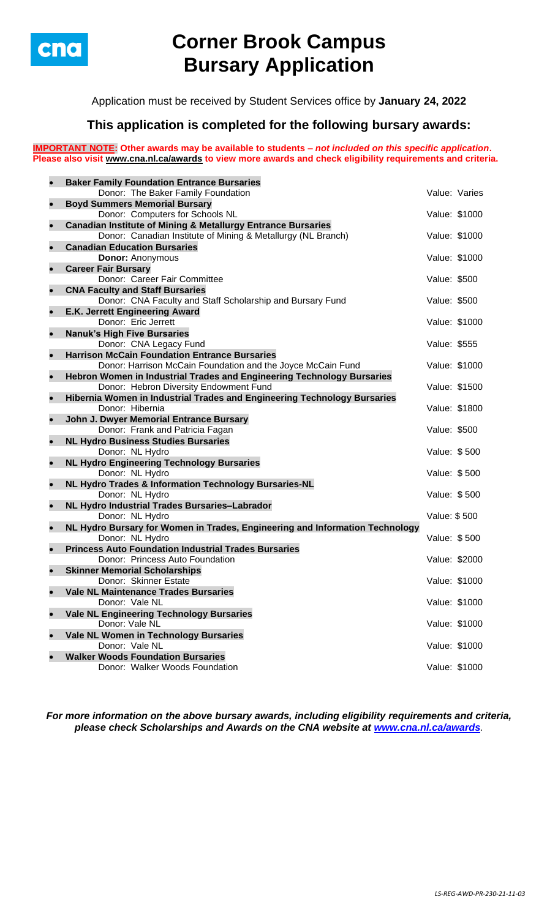

# **Corner Brook Campus Bursary Application**

Application must be received by Student Services office by **January 24, 2022**

## **This application is completed for the following bursary awards:**

**IMPORTANT NOTE: Other awards may be available to students –** *not included on this specific application***. Please also visit [www.cna.nl.ca/awards](http://www.cna.nl.ca/awards) to view more awards and check eligibility requirements and criteria.**

| $\bullet$ | <b>Baker Family Foundation Entrance Bursaries</b>                                               |               |               |
|-----------|-------------------------------------------------------------------------------------------------|---------------|---------------|
|           | Donor: The Baker Family Foundation                                                              |               | Value: Varies |
| $\bullet$ | <b>Boyd Summers Memorial Bursary</b>                                                            |               |               |
|           | Donor: Computers for Schools NL                                                                 | Value: \$1000 |               |
| $\bullet$ | <b>Canadian Institute of Mining &amp; Metallurgy Entrance Bursaries</b>                         |               |               |
|           | Donor: Canadian Institute of Mining & Metallurgy (NL Branch)                                    | Value: \$1000 |               |
| $\bullet$ | <b>Canadian Education Bursaries</b>                                                             |               |               |
|           | <b>Donor: Anonymous</b>                                                                         | Value: \$1000 |               |
| $\bullet$ | <b>Career Fair Bursary</b>                                                                      |               |               |
|           | Donor: Career Fair Committee                                                                    | Value: \$500  |               |
| $\bullet$ | <b>CNA Faculty and Staff Bursaries</b>                                                          |               |               |
|           | Donor: CNA Faculty and Staff Scholarship and Bursary Fund                                       | Value: \$500  |               |
| ۰         | E.K. Jerrett Engineering Award                                                                  |               |               |
|           | Donor: Eric Jerrett                                                                             | Value: \$1000 |               |
| ۰         | <b>Nanuk's High Five Bursaries</b>                                                              |               |               |
|           | Donor: CNA Legacy Fund                                                                          | Value: \$555  |               |
| $\bullet$ | <b>Harrison McCain Foundation Entrance Bursaries</b>                                            |               |               |
|           | Donor: Harrison McCain Foundation and the Joyce McCain Fund                                     | Value: \$1000 |               |
| $\bullet$ | Hebron Women in Industrial Trades and Engineering Technology Bursaries                          |               |               |
|           | Donor: Hebron Diversity Endowment Fund                                                          | Value: \$1500 |               |
| $\bullet$ | Hibernia Women in Industrial Trades and Engineering Technology Bursaries                        |               |               |
|           | Donor: Hibernia                                                                                 | Value: \$1800 |               |
| $\bullet$ | John J. Dwyer Memorial Entrance Bursary                                                         |               |               |
|           | Donor: Frank and Patricia Fagan                                                                 | Value: \$500  |               |
| $\bullet$ | <b>NL Hydro Business Studies Bursaries</b>                                                      |               |               |
|           | Donor: NL Hydro                                                                                 | Value: \$500  |               |
| $\bullet$ | <b>NL Hydro Engineering Technology Bursaries</b>                                                |               |               |
|           | Donor: NL Hydro                                                                                 | Value: \$500  |               |
| $\bullet$ | NL Hydro Trades & Information Technology Bursaries-NL                                           |               |               |
|           | Donor: NL Hydro                                                                                 | Value: \$500  |               |
| b         | NL Hydro Industrial Trades Bursaries-Labrador                                                   | Value: \$500  |               |
| $\bullet$ | Donor: NL Hydro<br>NL Hydro Bursary for Women in Trades, Engineering and Information Technology |               |               |
|           | Donor: NL Hydro                                                                                 | Value: \$500  |               |
| $\bullet$ | <b>Princess Auto Foundation Industrial Trades Bursaries</b>                                     |               |               |
|           | Donor: Princess Auto Foundation                                                                 | Value: \$2000 |               |
| $\bullet$ | <b>Skinner Memorial Scholarships</b>                                                            |               |               |
|           | Donor: Skinner Estate                                                                           | Value: \$1000 |               |
| $\bullet$ | Vale NL Maintenance Trades Bursaries                                                            |               |               |
|           | Donor: Vale NL                                                                                  |               | Value: \$1000 |
| $\bullet$ | <b>Vale NL Engineering Technology Bursaries</b>                                                 |               |               |
|           | Donor: Vale NL                                                                                  |               | Value: \$1000 |
| $\bullet$ | Vale NL Women in Technology Bursaries                                                           |               |               |
|           | Donor: Vale NL                                                                                  |               | Value: \$1000 |
| $\bullet$ | <b>Walker Woods Foundation Bursaries</b>                                                        |               |               |
|           | Donor: Walker Woods Foundation                                                                  | Value: \$1000 |               |
|           |                                                                                                 |               |               |

*For more information on the above bursary awards, including eligibility requirements and criteria, please check Scholarships and Awards on the CNA website at [www.cna.nl.ca/awards](http://www.cna.nl.ca/awards).*